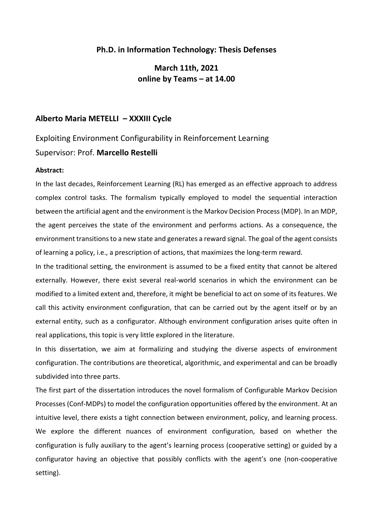## **Ph.D. in Information Technology: Thesis Defenses**

**March 11th, 2021 online by Teams – at 14.00**

#### **Alberto Maria METELLI – XXXIII Cycle**

# Exploiting Environment Configurability in Reinforcement Learning Supervisor: Prof. **Marcello Restelli**

#### **Abstract:**

In the last decades, Reinforcement Learning (RL) has emerged as an effective approach to address complex control tasks. The formalism typically employed to model the sequential interaction between the artificial agent and the environment is the Markov Decision Process (MDP). In an MDP, the agent perceives the state of the environment and performs actions. As a consequence, the environment transitions to a new state and generates a reward signal. The goal of the agent consists of learning a policy, i.e., a prescription of actions, that maximizes the long-term reward.

In the traditional setting, the environment is assumed to be a fixed entity that cannot be altered externally. However, there exist several real-world scenarios in which the environment can be modified to a limited extent and, therefore, it might be beneficial to act on some of its features. We call this activity environment configuration, that can be carried out by the agent itself or by an external entity, such as a configurator. Although environment configuration arises quite often in real applications, this topic is very little explored in the literature.

In this dissertation, we aim at formalizing and studying the diverse aspects of environment configuration. The contributions are theoretical, algorithmic, and experimental and can be broadly subdivided into three parts.

The first part of the dissertation introduces the novel formalism of Configurable Markov Decision Processes (Conf-MDPs) to model the configuration opportunities offered by the environment. At an intuitive level, there exists a tight connection between environment, policy, and learning process. We explore the different nuances of environment configuration, based on whether the configuration is fully auxiliary to the agent's learning process (cooperative setting) or guided by a configurator having an objective that possibly conflicts with the agent's one (non-cooperative setting).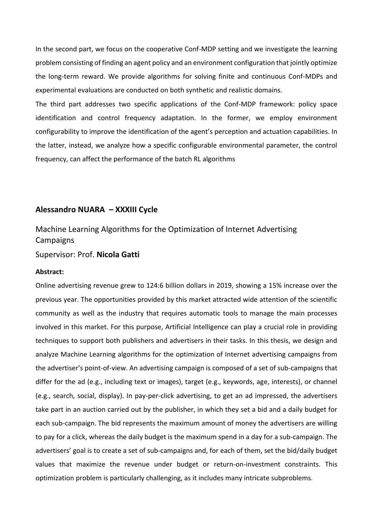In the second part, we focus on the cooperative Conf-MDP setting and we investigate the learning problem consisting of finding an agent policy and an environment configuration that jointly optimize the long-term reward. We provide algorithms for solving finite and continuous Conf-MDPs and experimental evaluations are conducted on both synthetic and realistic domains.

The third part addresses two specific applications of the Conf-MDP framework: policy space identification and control frequency adaptation. In the former, we employ environment configurability to improve the identification of the agent's perception and actuation capabilities. In the latter, instead, we analyze how a specific configurable environmental parameter, the control frequency, can affect the performance of the batch RL algorithms

## **Alessandro NUARA – XXXIII Cycle**

# Machine Learning Algorithms for the Optimization of Internet Advertising **Campaigns**

#### Supervisor: Prof. **Nicola Gatti**

#### **Abstract:**

Online advertising revenue grew to 124:6 billion dollars in 2019, showing a 15% increase over the previous year. The opportunities provided by this market attracted wide attention of the scientific community as well as the industry that requires automatic tools to manage the main processes involved in this market. For this purpose, Artificial Intelligence can play a crucial role in providing techniques to support both publishers and advertisers in their tasks. In this thesis, we design and analyze Machine Learning algorithms for the optimization of Internet advertising campaigns from the advertiser's point-of-view. An advertising campaign is composed of a set of sub-campaigns that differ for the ad (e.g., including text or images), target (e.g., keywords, age, interests), or channel (e.g., search, social, display). In pay-per-click advertising, to get an ad impressed, the advertisers take part in an auction carried out by the publisher, in which they set a bid and a daily budget for each sub-campaign. The bid represents the maximum amount of money the advertisers are willing to pay for a click, whereas the daily budget is the maximum spend in a day for a sub-campaign. The advertisers' goal is to create a set of sub-campaigns and, for each of them, set the bid/daily budget values that maximize the revenue under budget or return-on-investment constraints. This optimization problem is particularly challenging, as it includes many intricate subproblems.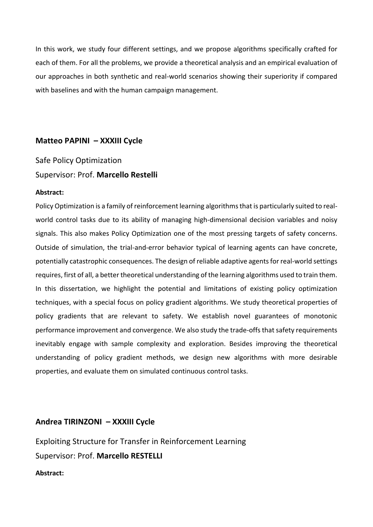In this work, we study four different settings, and we propose algorithms specifically crafted for each of them. For all the problems, we provide a theoretical analysis and an empirical evaluation of our approaches in both synthetic and real-world scenarios showing their superiority if compared with baselines and with the human campaign management.

# **Matteo PAPINI – XXXIII Cycle**

Safe Policy Optimization Supervisor: Prof. **Marcello Restelli**

#### **Abstract:**

Policy Optimization is a family of reinforcement learning algorithms that is particularly suited to realworld control tasks due to its ability of managing high-dimensional decision variables and noisy signals. This also makes Policy Optimization one of the most pressing targets of safety concerns. Outside of simulation, the trial-and-error behavior typical of learning agents can have concrete, potentially catastrophic consequences. The design of reliable adaptive agents for real-world settings requires, first of all, a better theoretical understanding of the learning algorithms used to train them. In this dissertation, we highlight the potential and limitations of existing policy optimization techniques, with a special focus on policy gradient algorithms. We study theoretical properties of policy gradients that are relevant to safety. We establish novel guarantees of monotonic performance improvement and convergence. We also study the trade-offs that safety requirements inevitably engage with sample complexity and exploration. Besides improving the theoretical understanding of policy gradient methods, we design new algorithms with more desirable properties, and evaluate them on simulated continuous control tasks.

# **Andrea TIRINZONI – XXXIII Cycle**

Exploiting Structure for Transfer in Reinforcement Learning Supervisor: Prof. **Marcello RESTELLI**

#### **Abstract:**